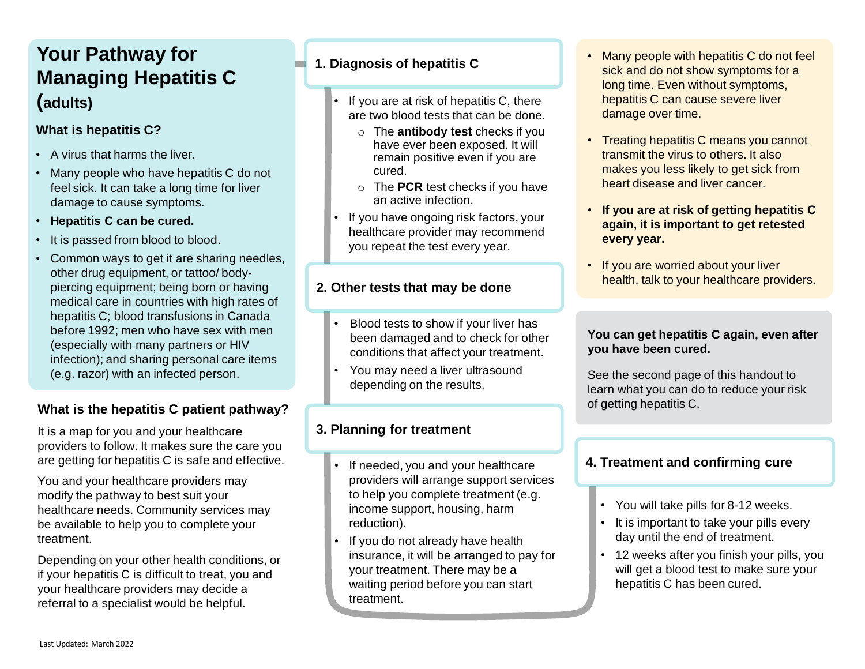# **1. Diagnosis of hepatitis C 1. Diagnosis of hepatitis C Managing Hepatitis C (adults)**

## **What is hepatitis C?**

- A virus that harms the liver.
- Many people who have hepatitis C do not feel sick. It can take a long time for liver damage to cause symptoms.
- **Hepatitis C can be cured.**
- It is passed from blood to blood.
- Common ways to get it are sharing needles, other drug equipment, or tattoo/ bodypiercing equipment; being born or having medical care in countries with high rates of hepatitis C; blood transfusions in Canada before 1992; men who have sex with men (especially with many partners or HIV infection); and sharing personal care items (e.g. razor) with an infected person.

## **What is the hepatitis C patient pathway?**

It is a map for you and your healthcare providers to follow. It makes sure the care you are getting for hepatitis C is safe and effective.

You and your healthcare providers may modify the pathway to best suit your healthcare needs. Community services may be available to help you to complete your treatment.

Depending on your other health conditions, or if your hepatitis C is difficult to treat, you and your healthcare providers may decide a referral to a specialist would be helpful.

- If you are at risk of hepatitis C, there are two blood tests that can be done.
	- o The **antibody test** checks if you have ever been exposed. It will remain positive even if you are cured.
	- o The **PCR** test checks if you have an active infection.
- If you have ongoing risk factors, your healthcare provider may recommend you repeat the test every year.

## **2. Other tests that may be done**

- Blood tests to show if your liver has been damaged and to check for other conditions that affect your treatment.
- You may need a liver ultrasound depending on the results.

## **3. Planning for treatment**

- If needed, you and your healthcare providers will arrange support services to help you complete treatment (e.g. income support, housing, harm reduction).
- If you do not already have health insurance, it will be arranged to pay for your treatment. There may be a waiting period before you can start treatment.
- Many people with hepatitis C do not feel sick and do not show symptoms for a long time. Even without symptoms, hepatitis C can cause severe liver damage over time.
- Treating hepatitis C means you cannot transmit the virus to others. It also makes you less likely to get sick from heart disease and liver cancer.
- **If you are at risk of getting hepatitis C again, it is important to get retested every year.**
- If you are worried about your liver health, talk to your healthcare providers.

### **You can get hepatitis C again, even after you have been cured.**

See the second page of this handout to learn what you can do to reduce your risk of getting hepatitis C.

## **4. Treatment and confirming cure**

- You will take pills for 8-12 weeks.
- It is important to take your pills every day until the end of treatment.
- 12 weeks after you finish your pills, you will get a blood test to make sure your hepatitis C has been cured.